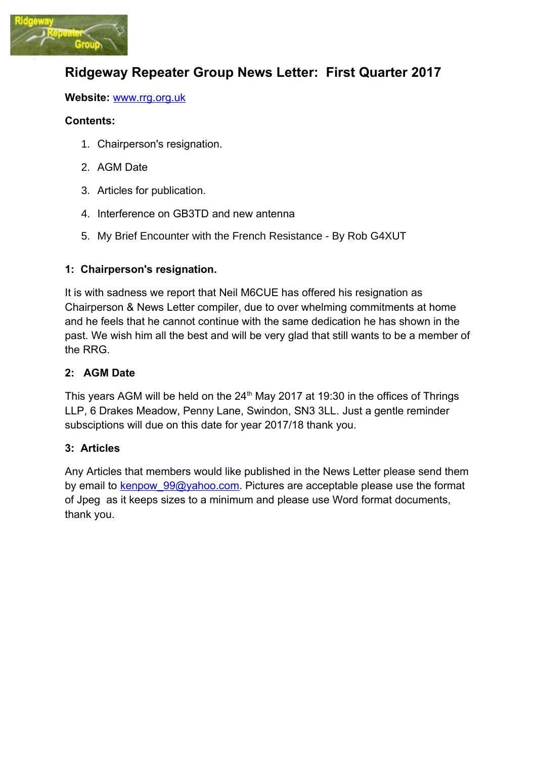

# **Ridgeway Repeater Group News Letter: First Quarter 2017**

#### **Website:** [www.rrg.org.uk](http://www.rrg.org.uk/)

#### **Contents:**

- 1. Chairperson's resignation.
- 2. AGM Date
- 3. Articles for publication.
- 4. Interference on GB3TD and new antenna
- 5. My Brief Encounter with the French Resistance By Rob G4XUT

## **1: Chairperson's resignation.**

It is with sadness we report that Neil M6CUE has offered his resignation as Chairperson & News Letter compiler, due to over whelming commitments at home and he feels that he cannot continue with the same dedication he has shown in the past. We wish him all the best and will be very glad that still wants to be a member of the RRG.

#### **2: AGM Date**

This years AGM will be held on the 24<sup>th</sup> May 2017 at 19:30 in the offices of Thrings LLP, 6 Drakes Meadow, Penny Lane, Swindon, SN3 3LL. Just a gentle reminder subsciptions will due on this date for year 2017/18 thank you.

## **3: Articles**

Any Articles that members would like published in the News Letter please send them by email to kenpow 99@yahoo.com. Pictures are acceptable please use the format of Jpeg as it keeps sizes to a minimum and please use Word format documents, thank you.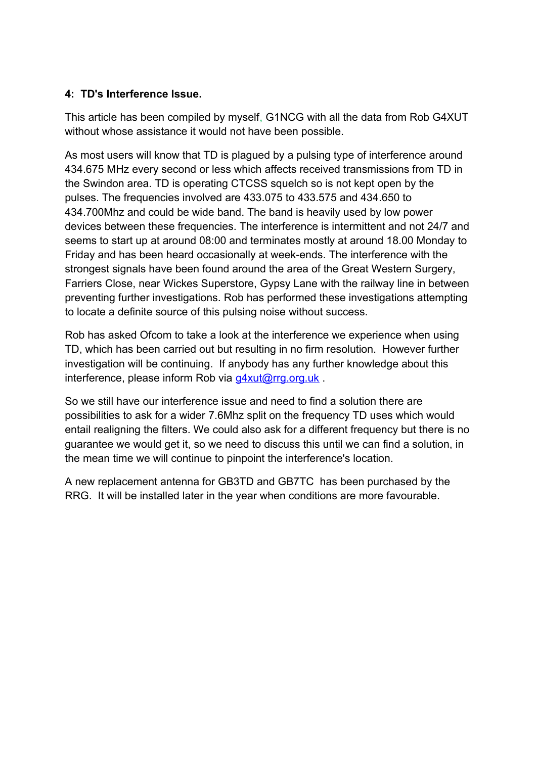# **4: TD's Interference Issue.**

This article has been compiled by myself, G1NCG with all the data from Rob G4XUT without whose assistance it would not have been possible.

As most users will know that TD is plagued by a pulsing type of interference around 434.675 MHz every second or less which affects received transmissions from TD in the Swindon area. TD is operating CTCSS squelch so is not kept open by the pulses. The frequencies involved are 433.075 to 433.575 and 434.650 to 434.700Mhz and could be wide band. The band is heavily used by low power devices between these frequencies. The interference is intermittent and not 24/7 and seems to start up at around 08:00 and terminates mostly at around 18.00 Monday to Friday and has been heard occasionally at week-ends. The interference with the strongest signals have been found around the area of the Great Western Surgery, Farriers Close, near Wickes Superstore, Gypsy Lane with the railway line in between preventing further investigations. Rob has performed these investigations attempting to locate a definite source of this pulsing noise without success.

Rob has asked Ofcom to take a look at the interference we experience when using TD, which has been carried out but resulting in no firm resolution. However further investigation will be continuing. If anybody has any further knowledge about this interference, please inform Rob via g4xut@rrg.org.uk.

So we still have our interference issue and need to find a solution there are possibilities to ask for a wider 7.6Mhz split on the frequency TD uses which would entail realigning the filters. We could also ask for a different frequency but there is no guarantee we would get it, so we need to discuss this until we can find a solution, in the mean time we will continue to pinpoint the interference's location.

A new replacement antenna for GB3TD and GB7TC has been purchased by the RRG. It will be installed later in the year when conditions are more favourable.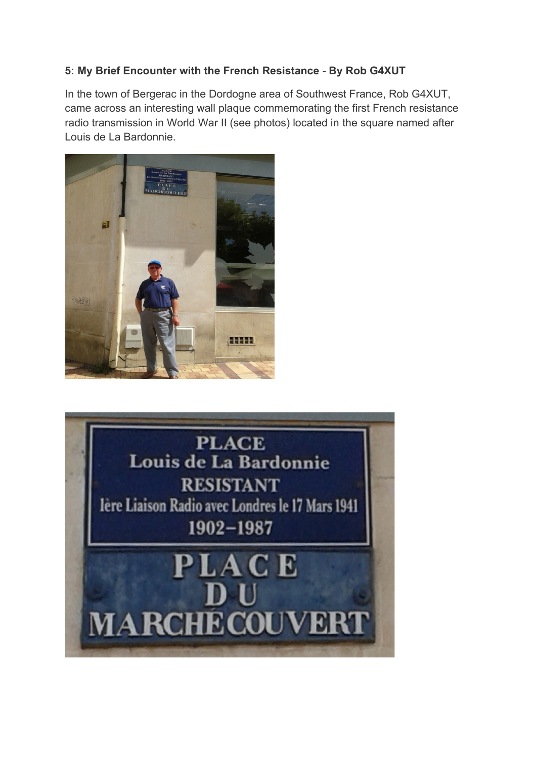# **5: My Brief Encounter with the French Resistance - By Rob G4XUT**

In the town of Bergerac in the Dordogne area of Southwest France, Rob G4XUT, came across an interesting wall plaque commemorating the first French resistance radio transmission in World War II (see photos) located in the square named after Louis de La Bardonnie.



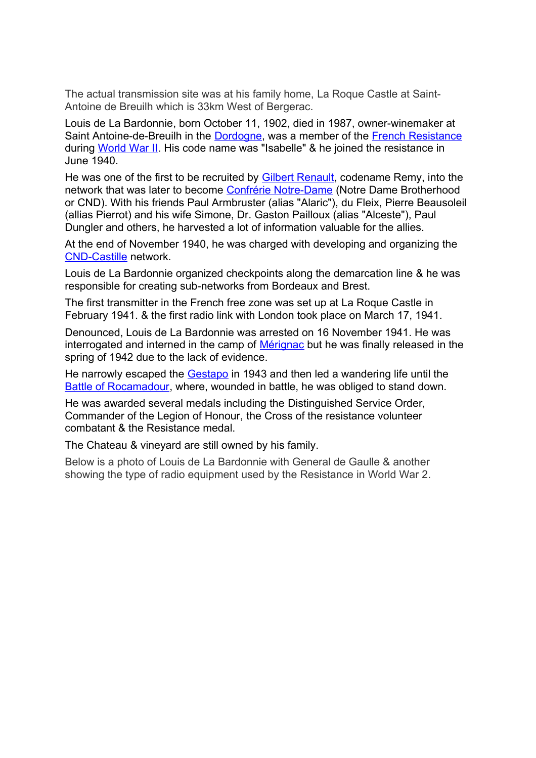The actual transmission site was at his family home, La Roque Castle at Saint-Antoine de Breuilh which is 33km West of Bergerac.

Louis de La Bardonnie, born October 11, 1902, died in 1987, owner-winemaker at Saint Antoine-de-Breuilh in the [Dordogne,](https://en.wikipedia.org/wiki/Dordogne) was a member of the [French Resistance](https://en.wikipedia.org/wiki/French_Resistance) during [World War II.](https://en.wikipedia.org/wiki/World_War_II) His code name was "Isabelle" & he joined the resistance in June 1940.

He was one of the first to be recruited by **Gilbert Renault**, codename Remy, into the network that was later to become [Confrérie Notre-Dame](https://en.wikipedia.org/wiki/Confr%C3%A9rie_Notre-Dame) (Notre Dame Brotherhood or CND). With his friends Paul Armbruster (alias "Alaric"), du Fleix, Pierre Beausoleil (allias Pierrot) and his wife Simone, Dr. Gaston Pailloux (alias "Alceste"), Paul Dungler and others, he harvested a lot of information valuable for the allies.

At the end of November 1940, he was charged with developing and organizing the [CND-Castille](https://en.wikipedia.org/wiki/CND-Castille) network.

Louis de La Bardonnie organized checkpoints along the demarcation line & he was responsible for creating sub-networks from Bordeaux and Brest.

The first transmitter in the French free zone was set up at La Roque Castle in February 1941. & the first radio link with London took place on March 17, 1941.

Denounced, Louis de La Bardonnie was arrested on 16 November 1941. He was interrogated and interned in the camp of [Mérignac](https://en.wikipedia.org/wiki/M%C3%A9rignac,_Gironde) but he was finally released in the spring of 1942 due to the lack of evidence.

He narrowly escaped the [Gestapo](https://en.wikipedia.org/wiki/Gestapo) in 1943 and then led a wandering life until the [Battle of Rocamadour,](https://en.wikipedia.org/w/index.php?title=Battle_of_Rocamadour&action=edit&redlink=1) where, wounded in battle, he was obliged to stand down.

He was awarded several medals including the Distinguished Service Order, Commander of the Legion of Honour, the Cross of the resistance volunteer combatant & the Resistance medal.

The Chateau & vineyard are still owned by his family.

Below is a photo of Louis de La Bardonnie with General de Gaulle & another showing the type of radio equipment used by the Resistance in World War 2.